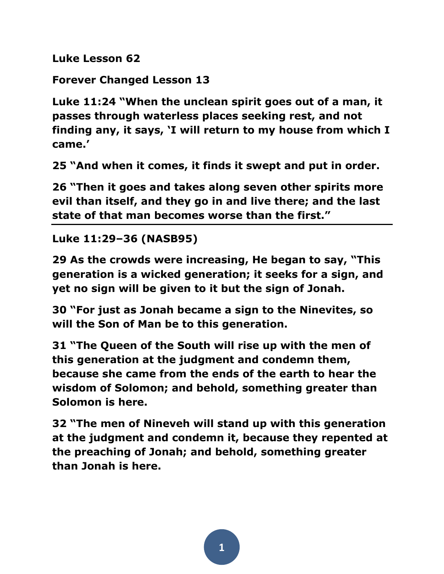**Luke Lesson 62**

**Forever Changed Lesson 13**

**Luke 11:24 "When the unclean spirit goes out of a man, it passes through waterless places seeking rest, and not finding any, it says, 'I will return to my house from which I came.'** 

**25 "And when it comes, it finds it swept and put in order.** 

**26 "Then it goes and takes along seven other spirits more evil than itself, and they go in and live there; and the last state of that man becomes worse than the first."** 

**Luke 11:29–36 (NASB95)**

**29 As the crowds were increasing, He began to say, "This generation is a wicked generation; it seeks for a sign, and yet no sign will be given to it but the sign of Jonah.** 

**30 "For just as Jonah became a sign to the Ninevites, so will the Son of Man be to this generation.** 

**31 "The Queen of the South will rise up with the men of this generation at the judgment and condemn them, because she came from the ends of the earth to hear the wisdom of Solomon; and behold, something greater than Solomon is here.** 

**32 "The men of Nineveh will stand up with this generation at the judgment and condemn it, because they repented at the preaching of Jonah; and behold, something greater than Jonah is here.**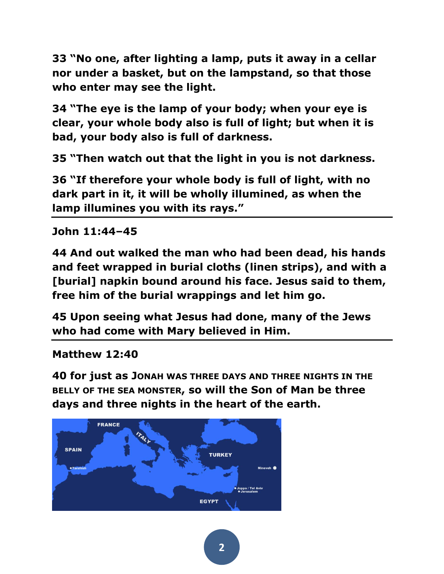**33 "No one, after lighting a lamp, puts it away in a cellar nor under a basket, but on the lampstand, so that those who enter may see the light.** 

**34 "The eye is the lamp of your body; when your eye is clear, your whole body also is full of light; but when it is bad, your body also is full of darkness.** 

**35 "Then watch out that the light in you is not darkness.** 

**36 "If therefore your whole body is full of light, with no dark part in it, it will be wholly illumined, as when the lamp illumines you with its rays."** 

**John 11:44–45** 

**44 And out walked the man who had been dead, his hands and feet wrapped in burial cloths (linen strips), and with a [burial] napkin bound around his face. Jesus said to them, free him of the burial wrappings and let him go.** 

**45 Upon seeing what Jesus had done, many of the Jews who had come with Mary believed in Him.** 

**Matthew 12:40** 

**40 for just as JONAH WAS THREE DAYS AND THREE NIGHTS IN THE BELLY OF THE SEA MONSTER, so will the Son of Man be three days and three nights in the heart of the earth.** 

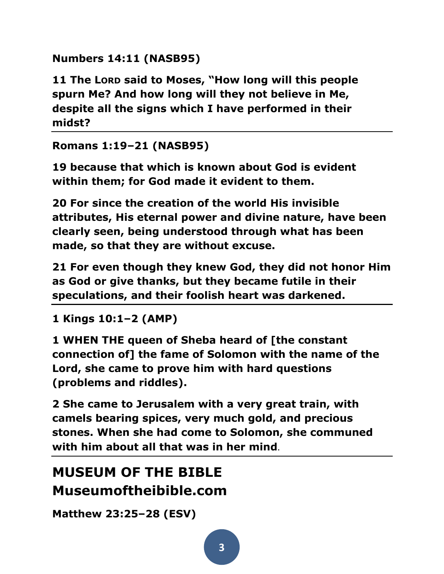**Numbers 14:11 (NASB95)**

**11 The LORD said to Moses, "How long will this people spurn Me? And how long will they not believe in Me, despite all the signs which I have performed in their midst?** 

## **Romans 1:19–21 (NASB95)**

**19 because that which is known about God is evident within them; for God made it evident to them.** 

**20 For since the creation of the world His invisible attributes, His eternal power and divine nature, have been clearly seen, being understood through what has been made, so that they are without excuse.** 

**21 For even though they knew God, they did not honor Him as God or give thanks, but they became futile in their speculations, and their foolish heart was darkened.** 

**1 Kings 10:1–2 (AMP)**

**1 WHEN THE queen of Sheba heard of [the constant connection of] the fame of Solomon with the name of the Lord, she came to prove him with hard questions (problems and riddles).** 

**2 She came to Jerusalem with a very great train, with camels bearing spices, very much gold, and precious stones. When she had come to Solomon, she communed with him about all that was in her mind**.

## **MUSEUM OF THE BIBLE Museumoftheibible.com**

**Matthew 23:25–28 (ESV)**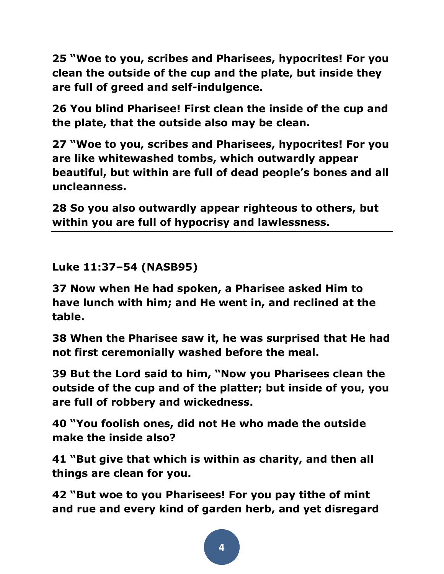**25 "Woe to you, scribes and Pharisees, hypocrites! For you clean the outside of the cup and the plate, but inside they are full of greed and self-indulgence.** 

**26 You blind Pharisee! First clean the inside of the cup and the plate, that the outside also may be clean.** 

**27 "Woe to you, scribes and Pharisees, hypocrites! For you are like whitewashed tombs, which outwardly appear beautiful, but within are full of dead people's bones and all uncleanness.** 

**28 So you also outwardly appear righteous to others, but within you are full of hypocrisy and lawlessness.** 

**Luke 11:37–54 (NASB95)**

**37 Now when He had spoken, a Pharisee asked Him to have lunch with him; and He went in, and reclined at the table.** 

**38 When the Pharisee saw it, he was surprised that He had not first ceremonially washed before the meal.** 

**39 But the Lord said to him, "Now you Pharisees clean the outside of the cup and of the platter; but inside of you, you are full of robbery and wickedness.** 

**40 "You foolish ones, did not He who made the outside make the inside also?** 

**41 "But give that which is within as charity, and then all things are clean for you.** 

**42 "But woe to you Pharisees! For you pay tithe of mint and rue and every kind of garden herb, and yet disregard**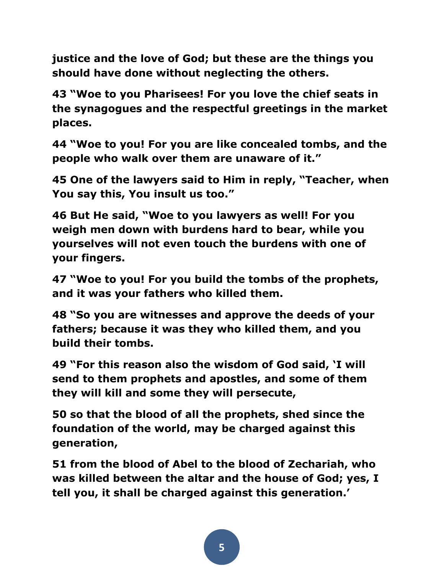**justice and the love of God; but these are the things you should have done without neglecting the others.** 

**43 "Woe to you Pharisees! For you love the chief seats in the synagogues and the respectful greetings in the market places.** 

**44 "Woe to you! For you are like concealed tombs, and the people who walk over them are unaware of it."** 

**45 One of the lawyers said to Him in reply, "Teacher, when You say this, You insult us too."** 

**46 But He said, "Woe to you lawyers as well! For you weigh men down with burdens hard to bear, while you yourselves will not even touch the burdens with one of your fingers.** 

**47 "Woe to you! For you build the tombs of the prophets, and it was your fathers who killed them.** 

**48 "So you are witnesses and approve the deeds of your fathers; because it was they who killed them, and you build their tombs.** 

**49 "For this reason also the wisdom of God said, 'I will send to them prophets and apostles, and some of them they will kill and some they will persecute,** 

**50 so that the blood of all the prophets, shed since the foundation of the world, may be charged against this generation,** 

**51 from the blood of Abel to the blood of Zechariah, who was killed between the altar and the house of God; yes, I tell you, it shall be charged against this generation.'**